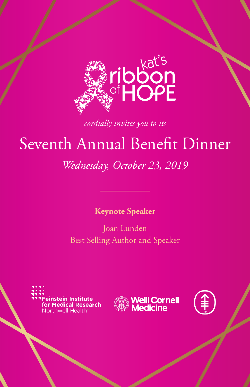

*cordially invites you to its*

# Seventh Annual Benefit Dinner

## *Wednesday, October 23, 2019*

## **Keynote Speaker**

Joan Lunden Best Selling Author and Speaker





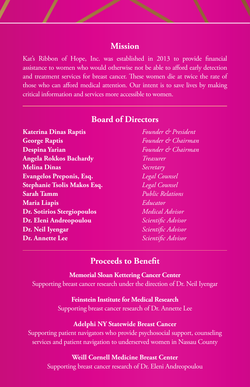## **Mission**

Kat's Ribbon of Hope, Inc. was established in 2013 to provide financial assistance to women who would otherwise not be able to afford early detection and treatment services for breast cancer. These women die at twice the rate of those who can afford medical attention. Our intent is to save lives by making critical information and services more accessible to women.

| <b>Katerina Dinas Raptis</b>      | Founder & President     |
|-----------------------------------|-------------------------|
| <b>George Raptis</b>              | Founder & Chairman      |
| Despina Yarian                    | Founder & Chairman      |
| <b>Angela Rokkos Bachardy</b>     | Treasurer               |
| <b>Melina Dinas</b>               | Secretary               |
| Evangelos Preponis, Esq.          | Legal Counsel           |
| Stephanie Tsolis Makos Esq.       | Legal Counsel           |
| <b>Sarah Tamm</b>                 | <b>Public Relations</b> |
| <b>Maria Liapis</b>               | Educator                |
| <b>Dr. Sotirios Stergiopoulos</b> | Medical Advisor         |
| Dr. Eleni Andreopoulou            | Scientific Advisor      |
| Dr. Neil Iyengar                  | Scientific Advisor      |
| Dr. Annette Lee                   | Scientific Advisor      |
|                                   |                         |

## **Board of Directors**

## **Proceeds to Benefit**

#### **Memorial Sloan Kettering Cancer Center**

Supporting breast cancer research under the direction of Dr. Neil Iyengar

#### **Feinstein Institute for Medical Research**

Supporting breast cancer research of Dr. Annette Lee

#### **Adelphi NY Statewide Breast Cancer**

Supporting patient navigators who provide psychosocial support, counseling services and patient navigation to underserved women in Nassau County

#### **Weill Cornell Medicine Breast Center**

Supporting breast cancer research of Dr. Eleni Andreopoulou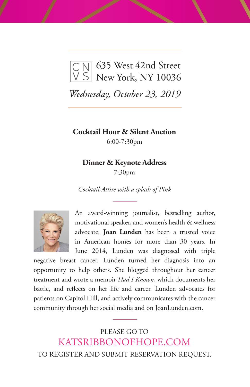

*Wednesday, October 23, 2019*

**Cocktail Hour & Silent Auction**

6:00-7:30pm

#### **Dinner & Keynote Address**

7:30pm

*Cocktail Attire with a splash of Pink*



An award-winning journalist, bestselling author, motivational speaker, and women's health & wellness advocate, **Joan Lunden** has been a trusted voice in American homes for more than 30 years. In June 2014, Lunden was diagnosed with triple

negative breast cancer. Lunden turned her diagnosis into an opportunity to help others. She blogged throughout her cancer treatment and wrote a memoir *Had I Known*, which documents her battle, and reflects on her life and career. Lunden advocates for patients on Capitol Hill, and actively communicates with the cancer community through her social media and on JoanLunden.com.

PLEASE GO TO KATSRIBBONOFHOPE.COM TO REGISTER AND SUBMIT RESERVATION REQUEST.